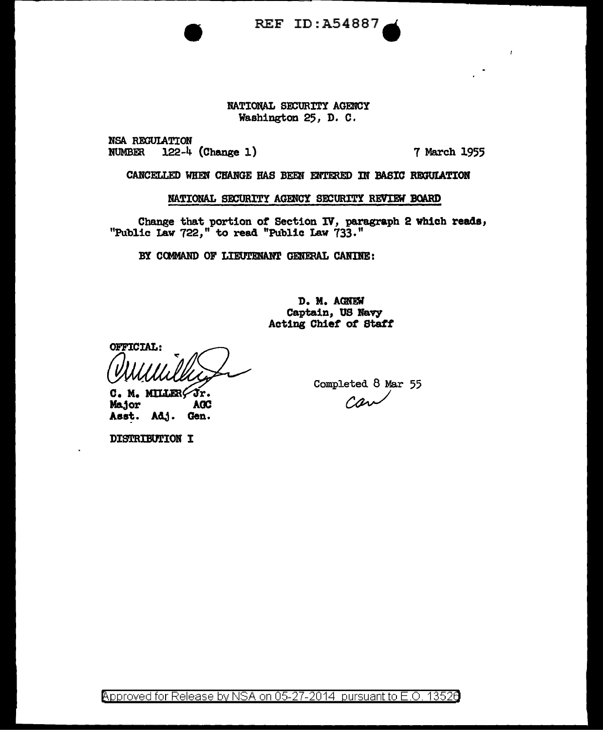REF ID:A54887.

# NATIONAL SECURITY AGENCY Washington 25, D. c.

NSA REGULATION<br>NUMBER 122-4 122-4 (Change 1) 7 March 1955

 $\bar{I}$ 

CANCELLED WHEN CHANGE HAS BEEN ENTERED IN BASIC REGULATION

NATIONAL SECURITY AGENCY SECURITY REVIEW BOARD

Change that portion of Section IV, paragraph 2 which reads, "Public Law 722," to read "Public Law 733."

BY COMMAND OF LIEUTENANT GENERAL CANINE:

D. M. AGNEW Captain, US Navy Acting Chief *ot Statt* 

OFFICIAL:

C. M. MILLER Fr. Major **AGC** Asst. Adj. Gen.

Completed 8 Mar 55 can

DISTRIBUTION I

Approved for Release by NSA on 05-27-2014 pursuant to E.O. 13526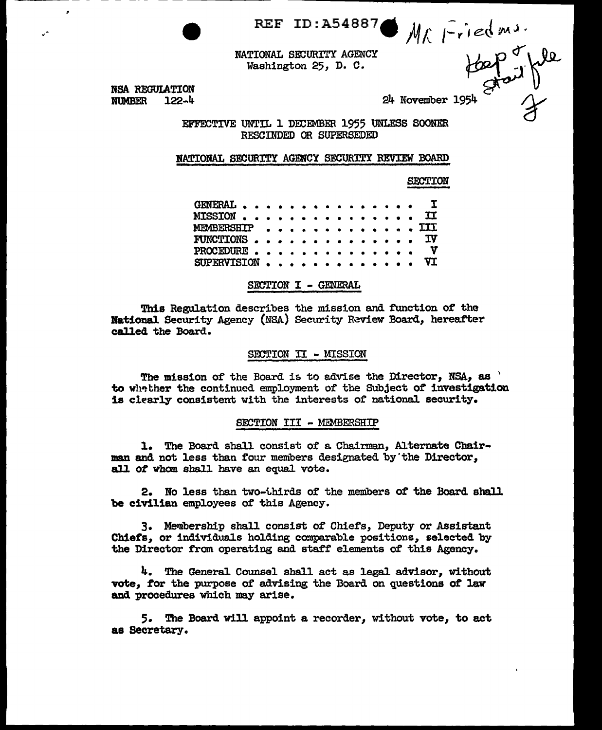REF ID:A54887.  $M_f$   $\overline{r}$  ied m.s.

NATIONAL SECURITY AGENCY Washington 25, D. C.

 $+\frac{1}{2}$  fait file

NSA REGUIATION  $H_{\text{N}}$  REGULATION<br>  $24$  November 1954  $24$ <br>  $24$  November 1954

,

EFFECTIVE UNTIL 1 DECEMBER 1955 UNLESS SOONER RESCINDED OR SUPERSEDED

NATIONAL SECURITY AGENCY SECURITY REVIEW BOARD

SECTION

| GENERAL I                                            |  |  |  |  |  |  |  |
|------------------------------------------------------|--|--|--|--|--|--|--|
| $\tt MISSION$ , , , , , , , , , , , , , , , $\tt II$ |  |  |  |  |  |  |  |
| MEMBERSHIP III                                       |  |  |  |  |  |  |  |
| FUNCTIONS TV                                         |  |  |  |  |  |  |  |
| PROCEDURE $V$                                        |  |  |  |  |  |  |  |
| SUPERVISION $VI$                                     |  |  |  |  |  |  |  |

SECTION I - GENERAL

This Regulation describes the mission and function of the National Security Agency (NSA) Security Review Board, hereafter called the Board.

#### SECTION II - MISSION

The mission of the Board is to advise the Director,  $NSA$ , as  $'$ to whether the continued employment of the Subject of investigation is clearly consistent with the interests of national. security.

#### SECTION III - MEMBERSHIP

1. The Board shall consist of a. Chairman, Alternate Chairman and not less than four members designated by"the Director, all of whom shall have an equal vote.

2. No less than two-thirds of the members of the Board shall be civilian employees of this Agency.

3. Membership shall consist of Chiefs, Deputy or Assistant Chiefs, or individuals holding comparable positions, selected by the Director from operating and staff elements of this Agency.

4. The General Counsel shall act as legal advisor, without vote, for the purpose of advising the Board on questions of law and procedures which may arise.

5. The Board will appoint a recorder, without vote, to act as Secretary.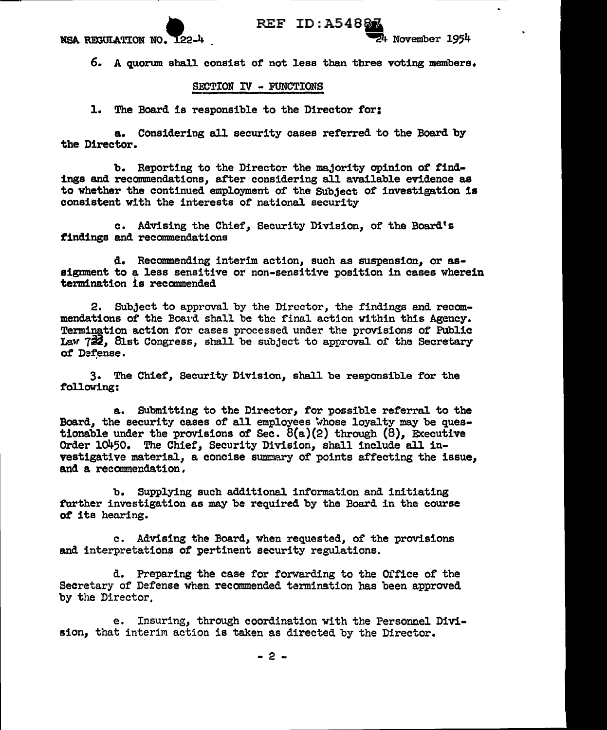

6. A quorum shall consist of not less than three voting members.

## SECTION IV - FUNCTIONS

1. The Board is responsible to the Director for:

a. Considering all security cases referred to the Board by the Director.

b. Reporting to the Director the majority opinion of findings and recommendations, after considering all available evidence as to whether the continued employment of the Subject of investigation is consistent with the interests of national security

c. Advising the Chief, Security Division, of the Board's findings and recommendations

d. Recommending interim action, such as suspension, or assignment to a less sensitive or non-sensitive position in cases wherein termination is recommended

2. Subject to approval by the Director, the f'indings and recommendations of the Board shall be the final action within this Agency. Termination action for cases processed under the provisions of Public Law  $722$ , 8lst Congress, shall be subject to approval of the Secretary of Defense.

3. The Chief, Security Division, shall be responsible for the following:

a. Submitting to the Director, for possible referral to the Board, the security cases of all employees whose loyalty may be questionable under the provisions of Sec.  $\delta(a)(2)$  through  $(8)$ , Executive Order lo450. The Chief, Security Division, shall include all investigative material, a concise summary of points affecting the issue, and a recommendation,

b. Supplying such additional information and initiating tarther investigation as may be required by the Board in the course of its hearing.

c. Advising the Board, when requested, of the provisions and interpretations of pertinent security regulations.

d. Preparing the case for forwarding to the Office of the Secretary of Defense when recommended termination has been approved by the Director,

e. Insuring, through coordination with the Personnel Division, that interim action is taken as directed by the Director.